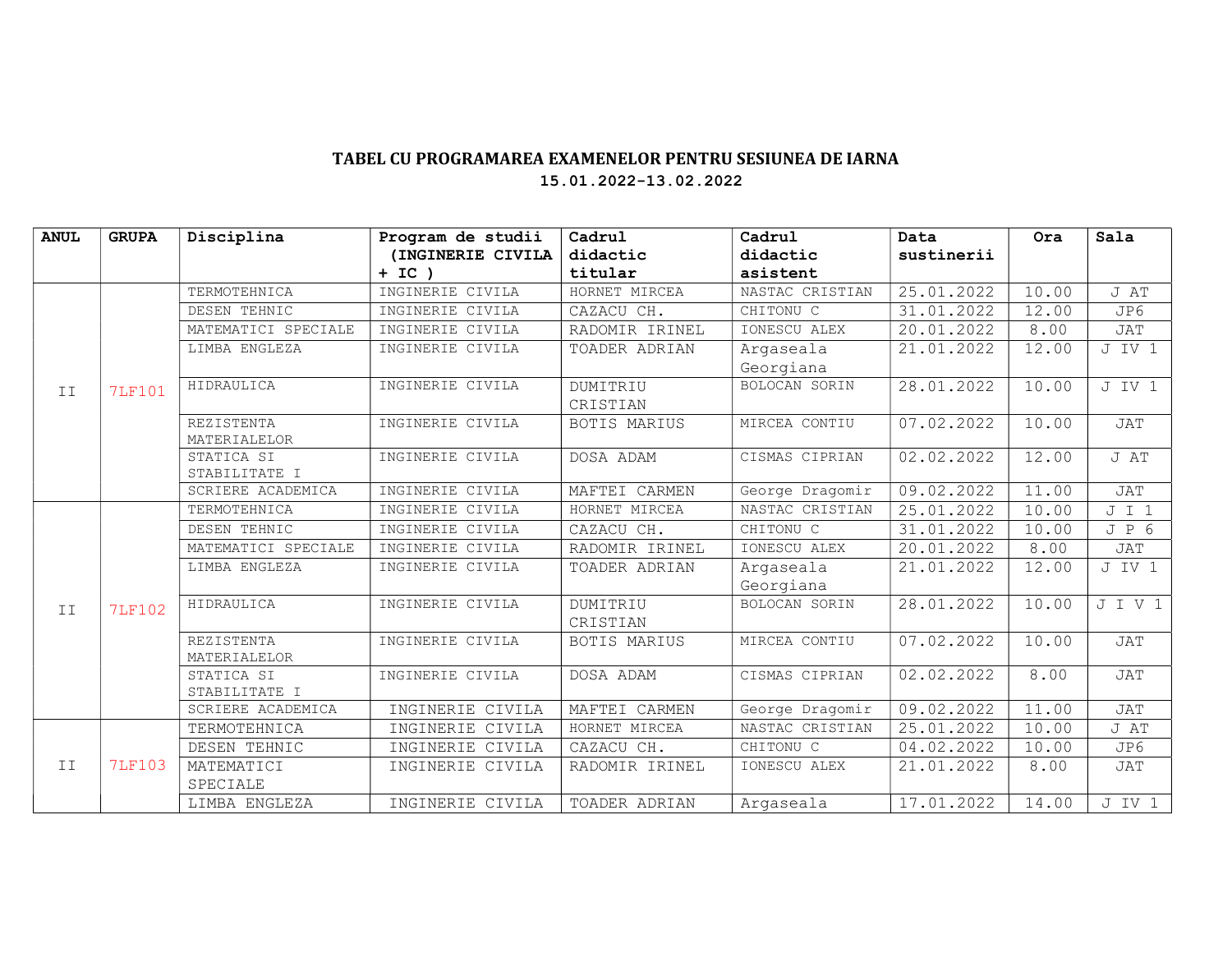## TABEL CU PROGRAMAREA EXAMENELOR PENTRU SESIUNEA DE IARNA 15.01.2022-13.02.2022

| <b>ANUL</b> | <b>GRUPA</b>  | Disciplina                         | Program de studii | Cadrul         | Cadrul          | Data       | Ora   | Sala       |
|-------------|---------------|------------------------------------|-------------------|----------------|-----------------|------------|-------|------------|
|             |               |                                    | (INGINERIE CIVILA | didactic       | didactic        | sustinerii |       |            |
|             |               |                                    | $+ IC$ )          | titular        | asistent        |            |       |            |
| II          | <b>7LF101</b> | TERMOTEHNICA                       | INGINERIE CIVILA  | HORNET MIRCEA  | NASTAC CRISTIAN | 25.01.2022 | 10.00 | J AT       |
|             |               | DESEN TEHNIC                       | INGINERIE CIVILA  | CAZACU CH.     | CHITONU C       | 31.01.2022 | 12.00 | JP6        |
|             |               | MATEMATICI SPECIALE                | INGINERIE CIVILA  | RADOMIR IRINEL | IONESCU ALEX    | 20.01.2022 | 8.00  | <b>JAT</b> |
|             |               | LIMBA ENGLEZA                      | INGINERIE CIVILA  | TOADER ADRIAN  | Argaseala       | 21.01.2022 | 12.00 | J IV 1     |
|             |               |                                    |                   |                | Georgiana       |            |       |            |
|             |               | HIDRAULICA                         | INGINERIE CIVILA  | DUMITRIU       | BOLOCAN SORIN   | 28.01.2022 | 10.00 | J IV 1     |
|             |               |                                    |                   | CRISTIAN       |                 |            |       |            |
|             |               | REZISTENTA                         | INGINERIE CIVILA  | BOTIS MARIUS   | MIRCEA CONTIU   | 07.02.2022 | 10.00 | <b>JAT</b> |
|             |               | MATERIALELOR                       |                   |                |                 |            |       |            |
|             |               | STATICA SI                         | INGINERIE CIVILA  | DOSA ADAM      | CISMAS CIPRIAN  | 02.02.2022 | 12.00 | J AT       |
|             |               | STABILITATE I<br>SCRIERE ACADEMICA | INGINERIE CIVILA  | MAFTEI CARMEN  | George Dragomir | 09.02.2022 | 11.00 | <b>JAT</b> |
|             |               | TERMOTEHNICA                       | INGINERIE CIVILA  | HORNET MIRCEA  | NASTAC CRISTIAN | 25.01.2022 |       | J I 1      |
| II          | <b>7LF102</b> |                                    |                   |                |                 |            | 10.00 |            |
|             |               | DESEN TEHNIC                       | INGINERIE CIVILA  | CAZACU CH.     | CHITONU C       | 31.01.2022 | 10.00 | JP6        |
|             |               | MATEMATICI SPECIALE                | INGINERIE CIVILA  | RADOMIR IRINEL | IONESCU ALEX    | 20.01.2022 | 8.00  | JAT        |
|             |               | LIMBA ENGLEZA                      | INGINERIE CIVILA  | TOADER ADRIAN  | Argaseala       | 21.01.2022 | 12.00 | J IV 1     |
|             |               |                                    |                   |                | Georgiana       |            |       |            |
|             |               | HIDRAULICA                         | INGINERIE CIVILA  | DUMITRIU       | BOLOCAN SORIN   | 28.01.2022 | 10.00 | JIV1       |
|             |               |                                    |                   | CRISTIAN       |                 |            |       |            |
|             |               | <b>REZISTENTA</b>                  | INGINERIE CIVILA  | BOTIS MARIUS   | MIRCEA CONTIU   | 07.02.2022 | 10.00 | <b>JAT</b> |
|             |               | MATERIALELOR                       |                   |                |                 |            |       |            |
|             |               | STATICA SI                         | INGINERIE CIVILA  | DOSA ADAM      | CISMAS CIPRIAN  | 02.02.2022 | 8.00  | <b>JAT</b> |
|             |               | STABILITATE I                      |                   |                |                 |            |       |            |
|             |               | SCRIERE ACADEMICA                  | INGINERIE CIVILA  | MAFTEI CARMEN  | George Dragomir | 09.02.2022 | 11.00 | <b>JAT</b> |
| II          | <b>7LF103</b> | TERMOTEHNICA                       | INGINERIE CIVILA  | HORNET MIRCEA  | NASTAC CRISTIAN | 25.01.2022 | 10.00 | J AT       |
|             |               | DESEN TEHNIC                       | INGINERIE CIVILA  | CAZACU CH.     | CHITONU C       | 04.02.2022 | 10.00 | JP6        |
|             |               | MATEMATICI                         | INGINERIE CIVILA  | RADOMIR IRINEL | IONESCU ALEX    | 21.01.2022 | 8.00  | <b>JAT</b> |
|             |               | SPECIALE                           |                   |                |                 |            |       |            |
|             |               | LIMBA ENGLEZA                      | INGINERIE CIVILA  | TOADER ADRIAN  | Argaseala       | 17.01.2022 | 14.00 | J IV 1     |